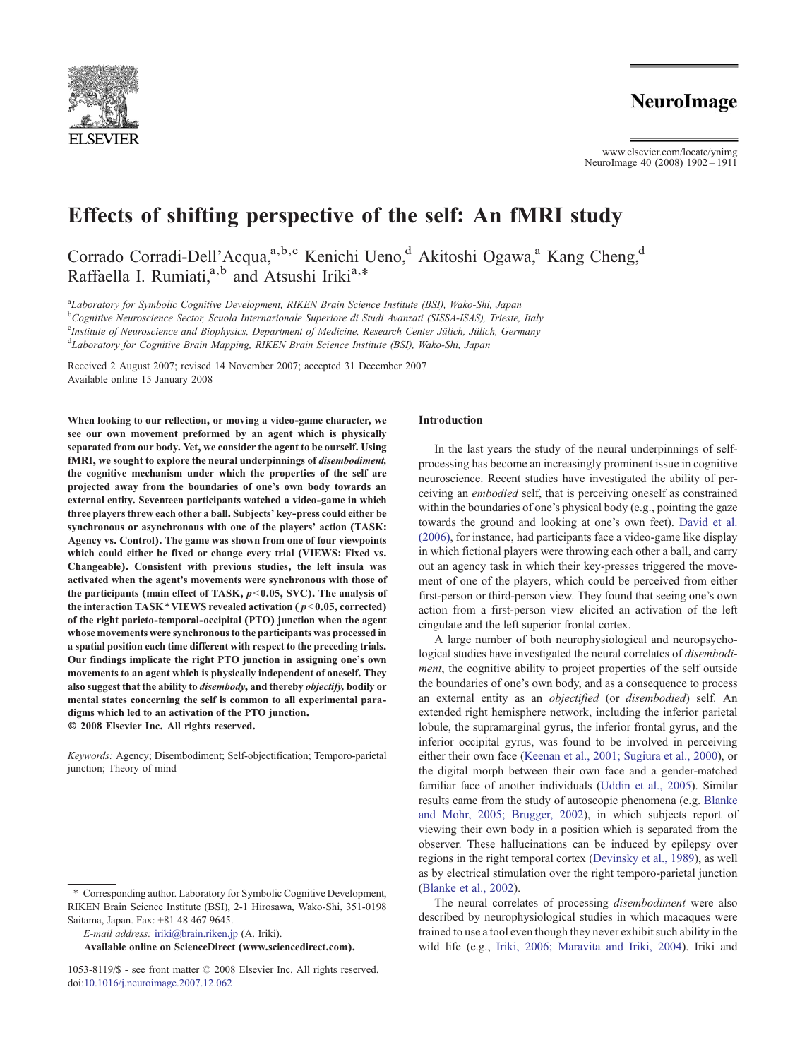

www.elsevier.com/locate/ynimg NeuroImage 40 (2008) 1902–1911

# Effects of shifting perspective of the self: An fMRI study

Corrado Corradi-Dell'Acqua,<sup>a,b,c</sup> Kenichi Ueno,<sup>d</sup> Akitoshi Ogawa,<sup>a</sup> Kang Cheng,<sup>d</sup> Raffaella I. Rumiati,<sup>a,b</sup> and Atsushi Iriki<sup>a,\*</sup>

<sup>a</sup>Laboratory for Symbolic Cognitive Development, RIKEN Brain Science Institute (BSI), Wako-Shi, Japan <sup>b</sup>Cognitive Neuroscience Sector, Scuola Internazionale Superiore di Studi Avanzati (SISSA-ISAS), Trieste, Italy c Institute of Neuroscience and Biophysics, Department of Medicine, Research Center Jülich, Jülich, Germany <sup>d</sup>Laboratory for Cognitive Brain Mapping, RIKEN Brain Science Institute (BSI), Wako-Shi, Japan

Received 2 August 2007; revised 14 November 2007; accepted 31 December 2007 Available online 15 January 2008

When looking to our reflection, or moving a video-game character, we see our own movement preformed by an agent which is physically separated from our body. Yet, we consider the agent to be ourself. Using fMRI, we sought to explore the neural underpinnings of disembodiment, the cognitive mechanism under which the properties of the self are projected away from the boundaries of one's own body towards an external entity. Seventeen participants watched a video-game in which three players threw each other a ball. Subjects' key-press could either be synchronous or asynchronous with one of the players' action (TASK: Agency vs. Control). The game was shown from one of four viewpoints which could either be fixed or change every trial (VIEWS: Fixed vs. Changeable). Consistent with previous studies, the left insula was activated when the agent's movements were synchronous with those of the participants (main effect of TASK,  $p<0.05$ , SVC). The analysis of the interaction TASK \* VIEWS revealed activation ( $p<0.05$ , corrected) of the right parieto-temporal-occipital (PTO) junction when the agent whose movements were synchronous to the participants was processed in a spatial position each time different with respect to the preceding trials. Our findings implicate the right PTO junction in assigning one's own movements to an agent which is physically independent of oneself. They also suggest that the ability to *disembody*, and thereby *objectify*, bodily or mental states concerning the self is common to all experimental paradigms which led to an activation of the PTO junction. © 2008 Elsevier Inc. All rights reserved.

Keywords: Agency; Disembodiment; Self-objectification; Temporo-parietal junction; Theory of mind

Available online on ScienceDirect (www.sciencedirect.com).

### Introduction

In the last years the study of the neural underpinnings of selfprocessing has become an increasingly prominent issue in cognitive neuroscience. Recent studies have investigated the ability of perceiving an embodied self, that is perceiving oneself as constrained within the boundaries of one's physical body (e.g., pointing the gaze towards the ground and looking at one's own feet). [David et al.](#page-8-0) [\(2006\)](#page-8-0), for instance, had participants face a video-game like display in which fictional players were throwing each other a ball, and carry out an agency task in which their key-presses triggered the movement of one of the players, which could be perceived from either first-person or third-person view. They found that seeing one's own action from a first-person view elicited an activation of the left cingulate and the left superior frontal cortex.

A large number of both neurophysiological and neuropsychological studies have investigated the neural correlates of disembodiment, the cognitive ability to project properties of the self outside the boundaries of one's own body, and as a consequence to process an external entity as an objectified (or disembodied) self. An extended right hemisphere network, including the inferior parietal lobule, the supramarginal gyrus, the inferior frontal gyrus, and the inferior occipital gyrus, was found to be involved in perceiving either their own face ([Keenan et al., 2001; Sugiura et al., 2000\)](#page-8-0), or the digital morph between their own face and a gender-matched familiar face of another individuals [\(Uddin et al., 2005](#page-9-0)). Similar results came from the study of autoscopic phenomena (e.g. [Blanke](#page-8-0) [and Mohr, 2005; Brugger, 2002](#page-8-0)), in which subjects report of viewing their own body in a position which is separated from the observer. These hallucinations can be induced by epilepsy over regions in the right temporal cortex [\(Devinsky et al., 1989](#page-8-0)), as well as by electrical stimulation over the right temporo-parietal junction ([Blanke et al., 2002](#page-8-0)).

The neural correlates of processing *disembodiment* were also described by neurophysiological studies in which macaques were trained to use a tool even though they never exhibit such ability in the wild life (e.g., [Iriki, 2006; Maravita and Iriki, 2004](#page-8-0)). Iriki and

<sup>⁎</sup> Corresponding author. Laboratory for Symbolic Cognitive Development, RIKEN Brain Science Institute (BSI), 2-1 Hirosawa, Wako-Shi, 351-0198 Saitama, Japan. Fax: +81 48 467 9645.

E-mail address: [iriki@brain.riken.jp](mailto:iriki@brain.riken.jp) (A. Iriki).

<sup>1053-8119/\$ -</sup> see front matter © 2008 Elsevier Inc. All rights reserved. doi[:10.1016/j.neuroimage.2007.12.062](http://dx.doi.org/10.1016/j.neuroimage.2007.12.062)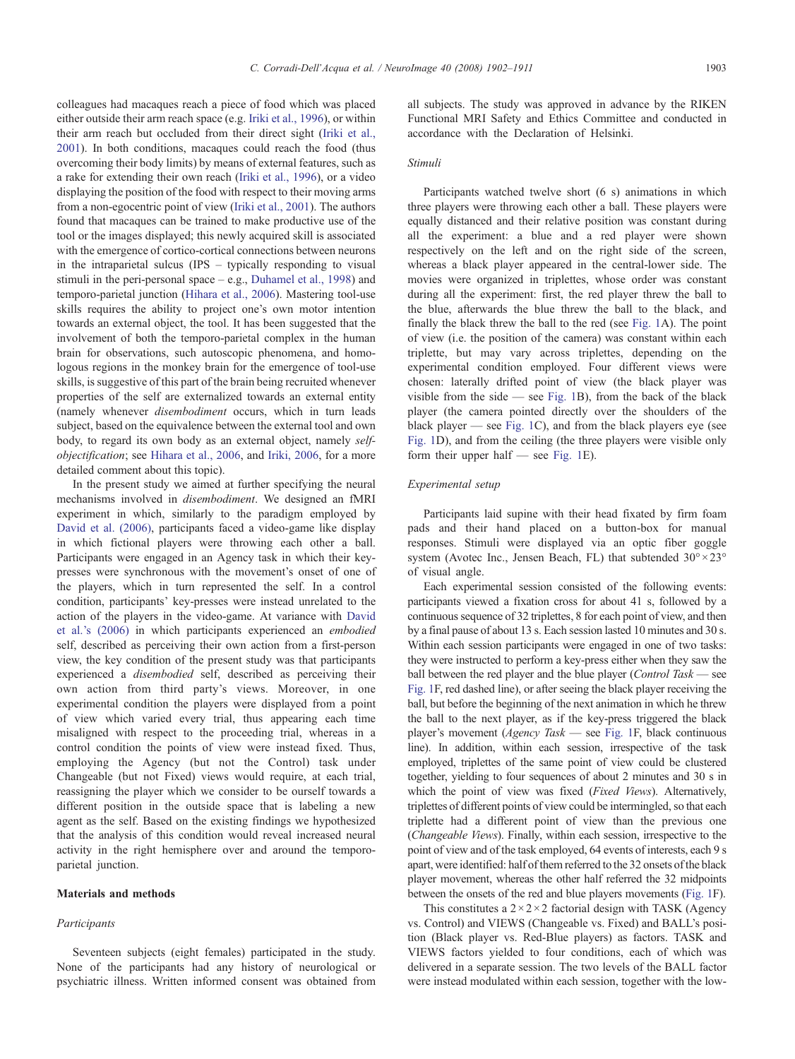colleagues had macaques reach a piece of food which was placed either outside their arm reach space (e.g. [Iriki et al., 1996](#page-8-0)), or within their arm reach but occluded from their direct sight ([Iriki et al.,](#page-8-0) [2001](#page-8-0)). In both conditions, macaques could reach the food (thus overcoming their body limits) by means of external features, such as a rake for extending their own reach [\(Iriki et al., 1996](#page-8-0)), or a video displaying the position of the food with respect to their moving arms from a non-egocentric point of view ([Iriki et al., 2001](#page-8-0)). The authors found that macaques can be trained to make productive use of the tool or the images displayed; this newly acquired skill is associated with the emergence of cortico-cortical connections between neurons in the intraparietal sulcus (IPS – typically responding to visual stimuli in the peri-personal space – e.g., [Duhamel et al., 1998](#page-8-0)) and temporo-parietal junction ([Hihara et al., 2006](#page-8-0)). Mastering tool-use skills requires the ability to project one's own motor intention towards an external object, the tool. It has been suggested that the involvement of both the temporo-parietal complex in the human brain for observations, such autoscopic phenomena, and homologous regions in the monkey brain for the emergence of tool-use skills, is suggestive of this part of the brain being recruited whenever properties of the self are externalized towards an external entity (namely whenever disembodiment occurs, which in turn leads subject, based on the equivalence between the external tool and own body, to regard its own body as an external object, namely selfobjectification; see [Hihara et al., 2006](#page-8-0), and [Iriki, 2006,](#page-8-0) for a more detailed comment about this topic).

In the present study we aimed at further specifying the neural mechanisms involved in disembodiment. We designed an fMRI experiment in which, similarly to the paradigm employed by [David et al. \(2006\)](#page-8-0), participants faced a video-game like display in which fictional players were throwing each other a ball. Participants were engaged in an Agency task in which their keypresses were synchronous with the movement's onset of one of the players, which in turn represented the self. In a control condition, participants' key-presses were instead unrelated to the action of the players in the video-game. At variance with [David](#page-8-0) et al.'[s \(2006\)](#page-8-0) in which participants experienced an embodied self, described as perceiving their own action from a first-person view, the key condition of the present study was that participants experienced a disembodied self, described as perceiving their own action from third party's views. Moreover, in one experimental condition the players were displayed from a point of view which varied every trial, thus appearing each time misaligned with respect to the proceeding trial, whereas in a control condition the points of view were instead fixed. Thus, employing the Agency (but not the Control) task under Changeable (but not Fixed) views would require, at each trial, reassigning the player which we consider to be ourself towards a different position in the outside space that is labeling a new agent as the self. Based on the existing findings we hypothesized that the analysis of this condition would reveal increased neural activity in the right hemisphere over and around the temporoparietal junction.

### Materials and methods

### Participants

Seventeen subjects (eight females) participated in the study. None of the participants had any history of neurological or psychiatric illness. Written informed consent was obtained from all subjects. The study was approved in advance by the RIKEN Functional MRI Safety and Ethics Committee and conducted in accordance with the Declaration of Helsinki.

### Stimuli

Participants watched twelve short (6 s) animations in which three players were throwing each other a ball. These players were equally distanced and their relative position was constant during all the experiment: a blue and a red player were shown respectively on the left and on the right side of the screen, whereas a black player appeared in the central-lower side. The movies were organized in triplettes, whose order was constant during all the experiment: first, the red player threw the ball to the blue, afterwards the blue threw the ball to the black, and finally the black threw the ball to the red (see Fig. 1A). The point of view (i.e. the position of the camera) was constant within each triplette, but may vary across triplettes, depending on the experimental condition employed. Four different views were chosen: laterally drifted point of view (the black player was visible from the side — see Fig. 1B), from the back of the black player (the camera pointed directly over the shoulders of the black player — see Fig. 1C), and from the black players eye (see Fig. 1D), and from the ceiling (the three players were visible only form their upper half — see Fig. 1E).

### Experimental setup

Participants laid supine with their head fixated by firm foam pads and their hand placed on a button-box for manual responses. Stimuli were displayed via an optic fiber goggle system (Avotec Inc., Jensen Beach, FL) that subtended  $30^{\circ} \times 23^{\circ}$ of visual angle.

Each experimental session consisted of the following events: participants viewed a fixation cross for about 41 s, followed by a continuous sequence of 32 triplettes, 8 for each point of view, and then by a final pause of about 13 s. Each session lasted 10 minutes and 30 s. Within each session participants were engaged in one of two tasks: they were instructed to perform a key-press either when they saw the ball between the red player and the blue player (*Control Task* — see Fig. 1F, red dashed line), or after seeing the black player receiving the ball, but before the beginning of the next animation in which he threw the ball to the next player, as if the key-press triggered the black player's movement (Agency Task — see Fig. 1F, black continuous line). In addition, within each session, irrespective of the task employed, triplettes of the same point of view could be clustered together, yielding to four sequences of about 2 minutes and 30 s in which the point of view was fixed (Fixed Views). Alternatively, triplettes of different points of view could be intermingled, so that each triplette had a different point of view than the previous one (Changeable Views). Finally, within each session, irrespective to the point of view and of the task employed, 64 events of interests, each 9 s apart, were identified: half of them referred to the 32 onsets of the black player movement, whereas the other half referred the 32 midpoints between the onsets of the red and blue players movements (Fig. 1F).

This constitutes a  $2 \times 2 \times 2$  factorial design with TASK (Agency vs. Control) and VIEWS (Changeable vs. Fixed) and BALL's position (Black player vs. Red-Blue players) as factors. TASK and VIEWS factors yielded to four conditions, each of which was delivered in a separate session. The two levels of the BALL factor were instead modulated within each session, together with the low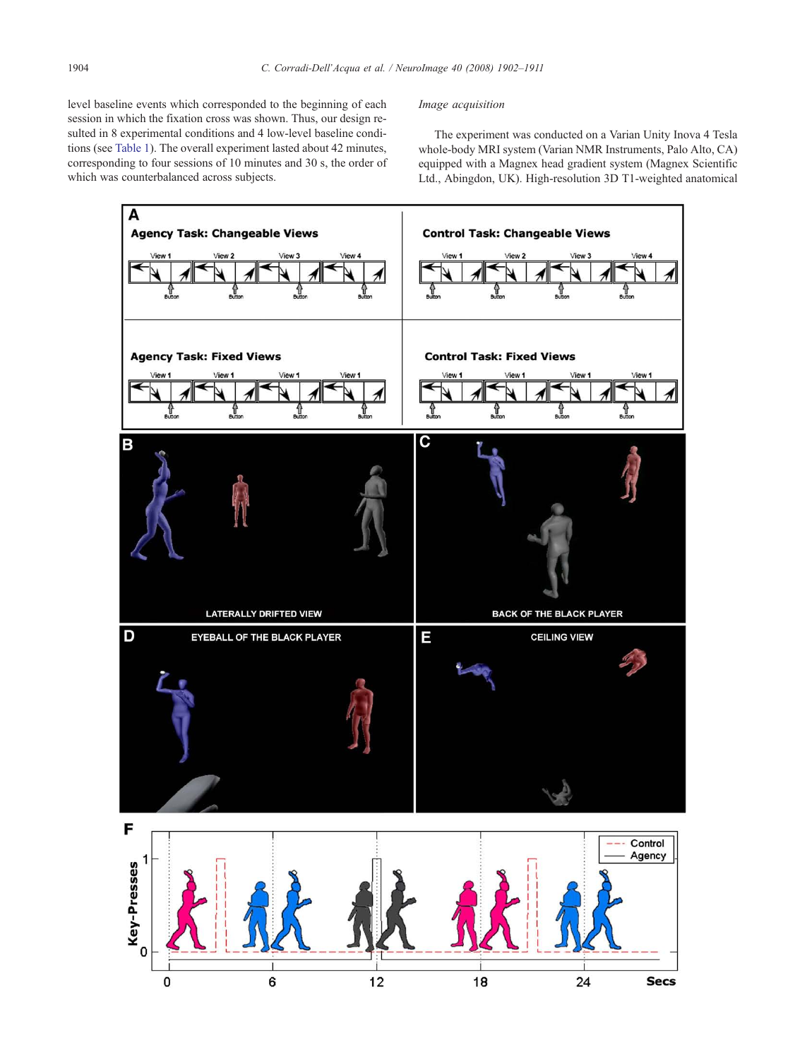level baseline events which corresponded to the beginning of each session in which the fixation cross was shown. Thus, our design resulted in 8 experimental conditions and 4 low-level baseline conditions (see [Table 1](#page-3-0)). The overall experiment lasted about 42 minutes, corresponding to four sessions of 10 minutes and 30 s, the order of which was counterbalanced across subjects.

### Image acquisition

The experiment was conducted on a Varian Unity Inova 4 Tesla whole-body MRI system (Varian NMR Instruments, Palo Alto, CA) equipped with a Magnex head gradient system (Magnex Scientific Ltd., Abingdon, UK). High-resolution 3D T1-weighted anatomical

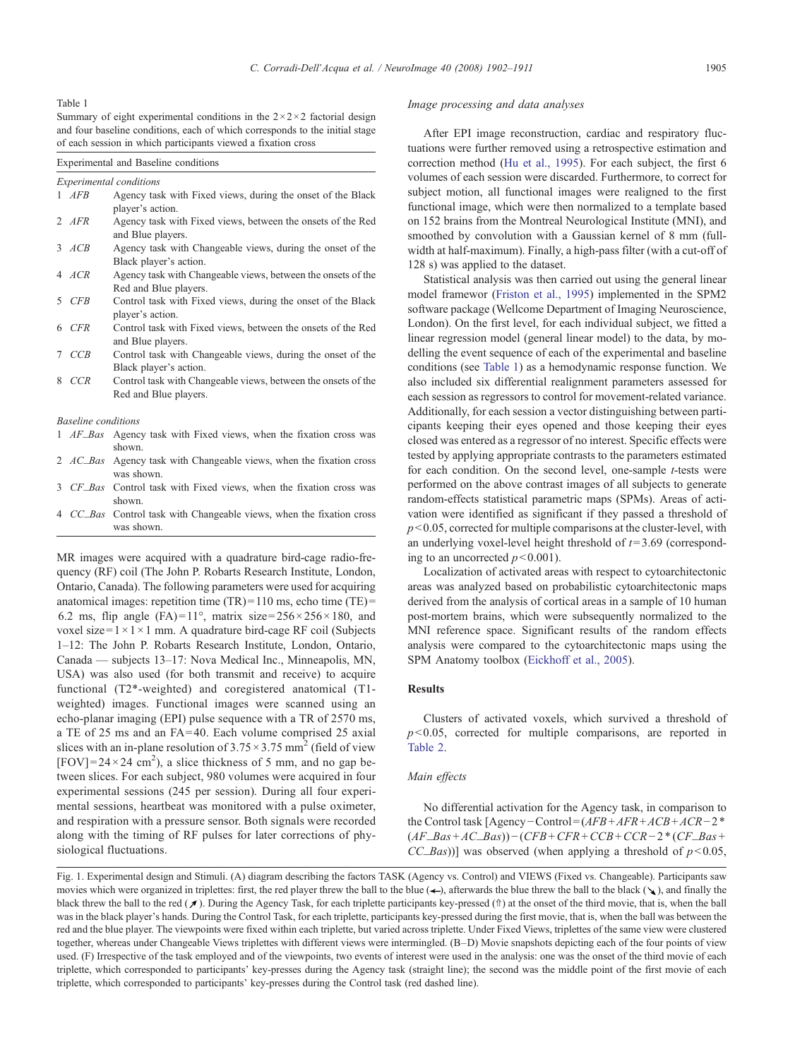### <span id="page-3-0"></span>Table 1

Summary of eight experimental conditions in the  $2 \times 2 \times 2$  factorial design and four baseline conditions, each of which corresponds to the initial stage of each session in which participants viewed a fixation cross

| Experimental and Baseline conditions |  |  |  |
|--------------------------------------|--|--|--|
|--------------------------------------|--|--|--|

Experimental conditions

|   | $1$ $AFB$           | Agency task with Fixed views, during the onset of the Black         |
|---|---------------------|---------------------------------------------------------------------|
|   |                     | player's action.                                                    |
|   | $2$ $AFR$           | Agency task with Fixed views, between the onsets of the Red         |
|   |                     | and Blue players.                                                   |
|   | $3$ $ACB$           | Agency task with Changeable views, during the onset of the          |
|   |                     | Black player's action.                                              |
|   | $4$ $ACR$           | Agency task with Changeable views, between the onsets of the        |
|   |                     | Red and Blue players.                                               |
| 5 | CFB                 | Control task with Fixed views, during the onset of the Black        |
|   |                     | player's action.                                                    |
| 6 | CFR                 | Control task with Fixed views, between the onsets of the Red        |
|   |                     |                                                                     |
|   |                     | and Blue players.                                                   |
| 7 | CCB                 | Control task with Changeable views, during the onset of the         |
|   |                     | Black player's action.                                              |
| 8 | <b>CCR</b>          | Control task with Changeable views, between the onsets of the       |
|   |                     | Red and Blue players.                                               |
|   |                     |                                                                     |
|   | Baseline conditions |                                                                     |
|   | $1$ AF_Bas          | Agency task with Fixed views, when the fixation cross was           |
|   |                     | shown.                                                              |
|   |                     | 2 AC_Bas Agency task with Changeable views, when the fixation cross |
|   |                     | was shown.                                                          |
| 3 |                     | CF_Bas Control task with Fixed views, when the fixation cross was   |
|   |                     | shown.                                                              |
| 4 |                     | CC_Bas Control task with Changeable views, when the fixation cross  |
|   |                     | was shown.                                                          |
|   |                     |                                                                     |

MR images were acquired with a quadrature bird-cage radio-frequency (RF) coil (The John P. Robarts Research Institute, London, Ontario, Canada). The following parameters were used for acquiring anatomical images: repetition time  $(TR) = 110$  ms, echo time  $(TE) =$ 6.2 ms, flip angle (FA)=11°, matrix size= $256 \times 256 \times 180$ , and voxel size =  $1 \times 1 \times 1$  mm. A quadrature bird-cage RF coil (Subjects 1–12: The John P. Robarts Research Institute, London, Ontario, Canada — subjects 13–17: Nova Medical Inc., Minneapolis, MN, USA) was also used (for both transmit and receive) to acquire functional (T2\*-weighted) and coregistered anatomical (T1 weighted) images. Functional images were scanned using an echo-planar imaging (EPI) pulse sequence with a TR of 2570 ms, a TE of 25 ms and an FA= 40. Each volume comprised 25 axial slices with an in-plane resolution of  $3.75 \times 3.75$  mm<sup>2</sup> (field of view  $[FOV] = 24 \times 24$  cm<sup>2</sup>), a slice thickness of 5 mm, and no gap between slices. For each subject, 980 volumes were acquired in four experimental sessions (245 per session). During all four experimental sessions, heartbeat was monitored with a pulse oximeter, and respiration with a pressure sensor. Both signals were recorded along with the timing of RF pulses for later corrections of physiological fluctuations.

### Image processing and data analyses

After EPI image reconstruction, cardiac and respiratory fluctuations were further removed using a retrospective estimation and correction method ([Hu et al., 1995\)](#page-8-0). For each subject, the first 6 volumes of each session were discarded. Furthermore, to correct for subject motion, all functional images were realigned to the first functional image, which were then normalized to a template based on 152 brains from the Montreal Neurological Institute (MNI), and smoothed by convolution with a Gaussian kernel of 8 mm (fullwidth at half-maximum). Finally, a high-pass filter (with a cut-off of 128 s) was applied to the dataset.

Statistical analysis was then carried out using the general linear model framewor ([Friston et al., 1995\)](#page-8-0) implemented in the SPM2 software package (Wellcome Department of Imaging Neuroscience, London). On the first level, for each individual subject, we fitted a linear regression model (general linear model) to the data, by modelling the event sequence of each of the experimental and baseline conditions (see Table 1) as a hemodynamic response function. We also included six differential realignment parameters assessed for each session as regressors to control for movement-related variance. Additionally, for each session a vector distinguishing between participants keeping their eyes opened and those keeping their eyes closed was entered as a regressor of no interest. Specific effects were tested by applying appropriate contrasts to the parameters estimated for each condition. On the second level, one-sample t-tests were performed on the above contrast images of all subjects to generate random-effects statistical parametric maps (SPMs). Areas of activation were identified as significant if they passed a threshold of  $p<0.05$ , corrected for multiple comparisons at the cluster-level, with an underlying voxel-level height threshold of  $t=3.69$  (corresponding to an uncorrected  $p<0.001$ ).

Localization of activated areas with respect to cytoarchitectonic areas was analyzed based on probabilistic cytoarchitectonic maps derived from the analysis of cortical areas in a sample of 10 human post-mortem brains, which were subsequently normalized to the MNI reference space. Significant results of the random effects analysis were compared to the cytoarchitectonic maps using the SPM Anatomy toolbox ([Eickhoff et al., 2005\)](#page-8-0).

### Results

Clusters of activated voxels, which survived a threshold of  $p<0.05$ , corrected for multiple comparisons, are reported in [Table 2.](#page-4-0)

#### Main effects

No differential activation for the Agency task, in comparison to the Control task [Agency−Control = (AFB+AFR+ACB+ACR−2 \*  $(AF\_Bas+AC\_Bas)$ ) – (CFB + CFR + CCB + CCR – 2 \* (CF $\_Bas$  +  $CC\_{Bas})$ ] was observed (when applying a threshold of  $p<0.05$ ,

Fig. 1. Experimental design and Stimuli. (A) diagram describing the factors TASK (Agency vs. Control) and VIEWS (Fixed vs. Changeable). Participants saw movies which were organized in triplettes: first, the red player threw the ball to the blue ( $\leftrightarrow$ ), afterwards the blue threw the ball to the black ( $\searrow$ ), and finally the black threw the ball to the red  $(\neq)$ . During the Agency Task, for each triplette participants key-pressed ( $\hat{r}$ ) at the onset of the third movie, that is, when the ball was in the black player's hands. During the Control Task, for each triplette, participants key-pressed during the first movie, that is, when the ball was between the red and the blue player. The viewpoints were fixed within each triplette, but varied across triplette. Under Fixed Views, triplettes of the same view were clustered together, whereas under Changeable Views triplettes with different views were intermingled. (B–D) Movie snapshots depicting each of the four points of view used. (F) Irrespective of the task employed and of the viewpoints, two events of interest were used in the analysis: one was the onset of the third movie of each triplette, which corresponded to participants' key-presses during the Agency task (straight line); the second was the middle point of the first movie of each triplette, which corresponded to participants' key-presses during the Control task (red dashed line).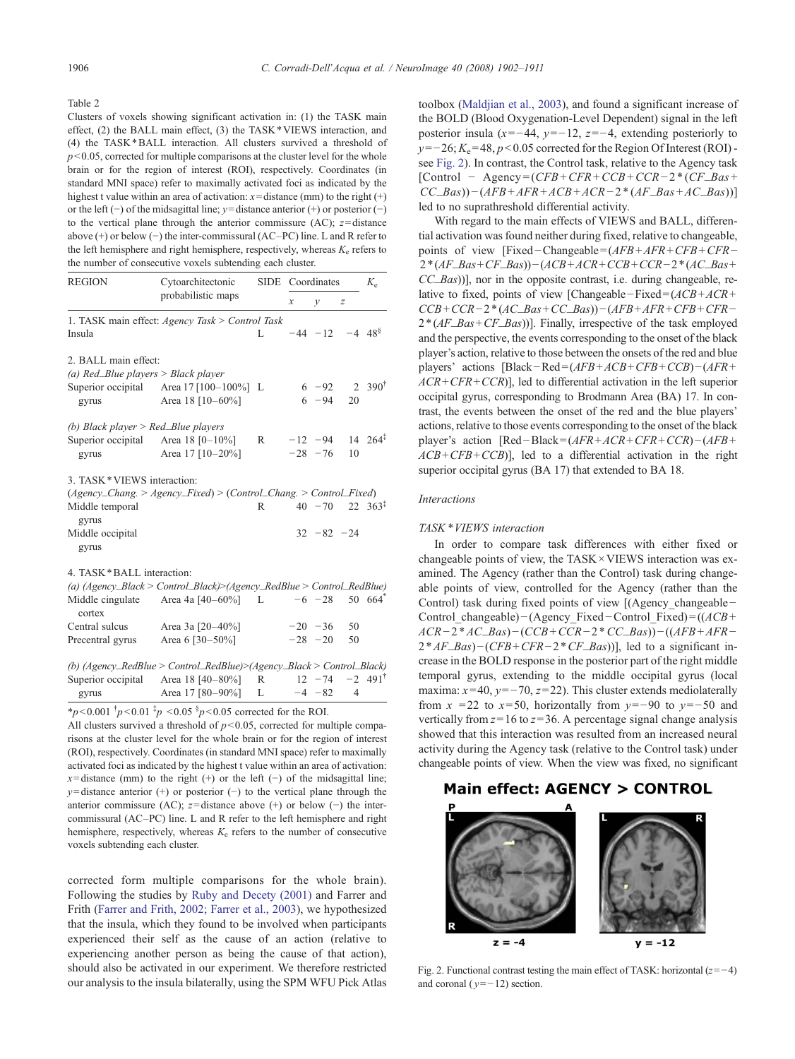<span id="page-4-0"></span>Table 2

Clusters of voxels showing significant activation in: (1) the TASK main effect, (2) the BALL main effect, (3) the TASK \*VIEWS interaction, and (4) the TASK \*BALL interaction. All clusters survived a threshold of  $p<0.05$ , corrected for multiple comparisons at the cluster level for the whole brain or for the region of interest (ROI), respectively. Coordinates (in standard MNI space) refer to maximally activated foci as indicated by the highest t value within an area of activation:  $x =$  distance (mm) to the right (+) or the left (−) of the midsagittal line; y= distance anterior (+) or posterior (−) to the vertical plane through the anterior commissure  $(AC)$ :  $z = distance$ above (+) or below (−) the inter-commissural (AC–PC) line. L and R refer to the left hemisphere and right hemisphere, respectively, whereas  $K<sub>e</sub>$  refers to the number of consecutive voxels subtending each cluster.

| <b>REGION</b>                                                                                                    | Cytoarchitectonic<br>probabilistic maps                                 | <b>SIDE</b> | Coordinates   |                             |                  | $K_{\rm e}$                           |  |  |  |  |
|------------------------------------------------------------------------------------------------------------------|-------------------------------------------------------------------------|-------------|---------------|-----------------------------|------------------|---------------------------------------|--|--|--|--|
|                                                                                                                  |                                                                         |             | $\mathcal{X}$ | $\mathcal{Y}$               | $\boldsymbol{Z}$ |                                       |  |  |  |  |
|                                                                                                                  | 1. TASK main effect: Agency Task > Control Task                         |             |               |                             |                  |                                       |  |  |  |  |
| Insula                                                                                                           |                                                                         | L           |               | $-44 - 12$                  |                  | $-4.48^{\circ}$                       |  |  |  |  |
|                                                                                                                  |                                                                         |             |               |                             |                  |                                       |  |  |  |  |
| 2. BALL main effect:                                                                                             |                                                                         |             |               |                             |                  |                                       |  |  |  |  |
| (a) $Red\_Blue$ players $> Black$ player                                                                         |                                                                         |             |               |                             |                  |                                       |  |  |  |  |
| Superior occipital                                                                                               | Area $17$ [100-100%] L                                                  |             |               | $6 - 92$                    |                  | 2 390 <sup><math>\dagger</math></sup> |  |  |  |  |
| gyrus                                                                                                            | Area 18 [10-60%]                                                        |             |               | $6 - 94$                    | 20               |                                       |  |  |  |  |
| (b) Black player $>$ Red_Blue players                                                                            |                                                                         |             |               |                             |                  |                                       |  |  |  |  |
| Superior occipital                                                                                               | Area 18 $[0-10\%]$                                                      | R           |               | $-12 -94$                   |                  | $14 \t264^{\frac{1}{4}}$              |  |  |  |  |
| gyrus                                                                                                            | Area 17 [10-20%]                                                        |             |               | $-28 - 76$                  | 10               |                                       |  |  |  |  |
| 3. TASK * VIEWS interaction:<br>Middle temporal<br>gyrus<br>Middle occipital<br>gyrus                            | $(Agency\_Chang. > Agency\_Fixed) > (Control\_Chang. > Control\_Fixed)$ | R           |               | $40 - 70$<br>$32 - 82 - 24$ |                  | $22 \quad 363^{\frac{1}{4}}$          |  |  |  |  |
| 4. TASK * BALL interaction:                                                                                      |                                                                         |             |               |                             |                  |                                       |  |  |  |  |
|                                                                                                                  | (a) (Agency_Black > Control_Black)>(Agency_RedBlue > Control_RedBlue)   |             |               |                             |                  |                                       |  |  |  |  |
| Middle cingulate<br>cortex                                                                                       | Area 4a [40-60%] L                                                      |             | $-6$ $-28$    |                             |                  | 50 664                                |  |  |  |  |
| Central sulcus                                                                                                   | Area 3a [20-40%]                                                        |             |               | $-20 - 36$                  | 50               |                                       |  |  |  |  |
| Precentral gyrus                                                                                                 | Area 6 [30-50%]                                                         |             |               | $-28 - 20$                  | 50               |                                       |  |  |  |  |
| (b) (Agency_RedBlue > Control_RedBlue)>(Agency_Black > Control_Black)<br>$12 - 74$<br>$-2$ 491 <sup>†</sup><br>R |                                                                         |             |               |                             |                  |                                       |  |  |  |  |
| Superior occipital                                                                                               | Area 18 [40-80%]<br>Area 17 [80-90%]                                    | L           |               | $-4$ $-82$                  | $\overline{4}$   |                                       |  |  |  |  |
| gyrus                                                                                                            |                                                                         |             |               |                             |                  |                                       |  |  |  |  |

\*p<0.001  $\frac{1}{p}$  <0.01  $\frac{1}{p}$  <0.05  $\frac{8}{p}$  <0.05 corrected for the ROI.

All clusters survived a threshold of  $p<0.05$ , corrected for multiple comparisons at the cluster level for the whole brain or for the region of interest (ROI), respectively. Coordinates (in standard MNI space) refer to maximally activated foci as indicated by the highest t value within an area of activation: x= distance (mm) to the right (+) or the left (−) of the midsagittal line;  $y=$  distance anterior (+) or posterior (-) to the vertical plane through the anterior commissure (AC);  $z$ = distance above (+) or below (−) the intercommissural (AC–PC) line. L and R refer to the left hemisphere and right hemisphere, respectively, whereas  $K<sub>e</sub>$  refers to the number of consecutive voxels subtending each cluster.

corrected form multiple comparisons for the whole brain). Following the studies by [Ruby and Decety \(2001\)](#page-9-0) and Farrer and Frith [\(Farrer and Frith, 2002; Farrer et al., 2003](#page-8-0)), we hypothesized that the insula, which they found to be involved when participants experienced their self as the cause of an action (relative to experiencing another person as being the cause of that action), should also be activated in our experiment. We therefore restricted our analysis to the insula bilaterally, using the SPM WFU Pick Atlas

toolbox [\(Maldjian et al., 2003](#page-9-0)), and found a significant increase of the BOLD (Blood Oxygenation-Level Dependent) signal in the left posterior insula ( $x=-44$ ,  $y=-12$ ,  $z=-4$ , extending posteriorly to  $y=-26$ ;  $K_e=48$ ,  $p<0.05$  corrected for the Region Of Interest (ROI) see Fig. 2). In contrast, the Control task, relative to the Agency task  $[Control - Agency = (CFB + CFR + CCB + CCR - 2 * (CF_B as +$  $CC\_Bas$ ) – ( $AFB + AFR + ACB + ACR - 2*(AF\_Bas + AC\_Bas)$ )] led to no suprathreshold differential activity.

With regard to the main effects of VIEWS and BALL, differential activation was found neither during fixed, relative to changeable, points of view [Fixed–Changeable= $(AFB+AFR+CFB+CFR 2*(AF_Bas+CF_Bas)-(ACB+ACR+CCB+CCR-2*(AC_Bas+$ CC\_Bas))], nor in the opposite contrast, i.e. during changeable, relative to fixed, points of view [Changeable−Fixed= (ACB+ACR+ CCB+CCR−2\*(AC\_Bas+CC\_Bas))−(AFB+AFR+CFB+CFR−  $2*(AF\_\_\_\_\$  + CF\\_\\_\\_\\_\\_\\_\. Finally, irrespective of the task employed and the perspective, the events corresponding to the onset of the black player's action, relative to those between the onsets of the red and blue players' actions [Black−Red= (AFB+ACB+CFB+CCB)−(AFR+  $ACR+CFR+CCR$ ], led to differential activation in the left superior occipital gyrus, corresponding to Brodmann Area (BA) 17. In contrast, the events between the onset of the red and the blue players' actions, relative to those events corresponding to the onset of the black player's action [Red−Black= (AFR+ACR+CFR+CCR)−(AFB+  $ACB + CFB + CCB$ ], led to a differential activation in the right superior occipital gyrus (BA 17) that extended to BA 18.

#### **Interactions**

#### TASK \*VIEWS interaction

In order to compare task differences with either fixed or changeable points of view, the TASK × VIEWS interaction was examined. The Agency (rather than the Control) task during changeable points of view, controlled for the Agency (rather than the Control) task during fixed points of view [(Agency\_changeable− Control\_changeable)−(Agency\_Fixed−Control\_Fixed) = ((ACB+  $ACR-2*AC\_Bas)-(CCB+CCR-2*CC\_Bas)-( (AFB+AFR 2*AF_Bas)-(CFB+CFR-2*CF_Bas)$ ], led to a significant increase in the BOLD response in the posterior part of the right middle temporal gyrus, extending to the middle occipital gyrus (local maxima:  $x=40$ ,  $y=-70$ ,  $z=22$ ). This cluster extends mediolaterally from  $x = 22$  to  $x = 50$ , horizontally from  $y = -90$  to  $y = -50$  and vertically from  $z=16$  to  $z=36$ . A percentage signal change analysis showed that this interaction was resulted from an increased neural activity during the Agency task (relative to the Control task) under changeable points of view. When the view was fixed, no significant

### Main effect: AGENCY > CONTROL



Fig. 2. Functional contrast testing the main effect of TASK: horizontal  $(z=-4)$ and coronal  $(y=-12)$  section.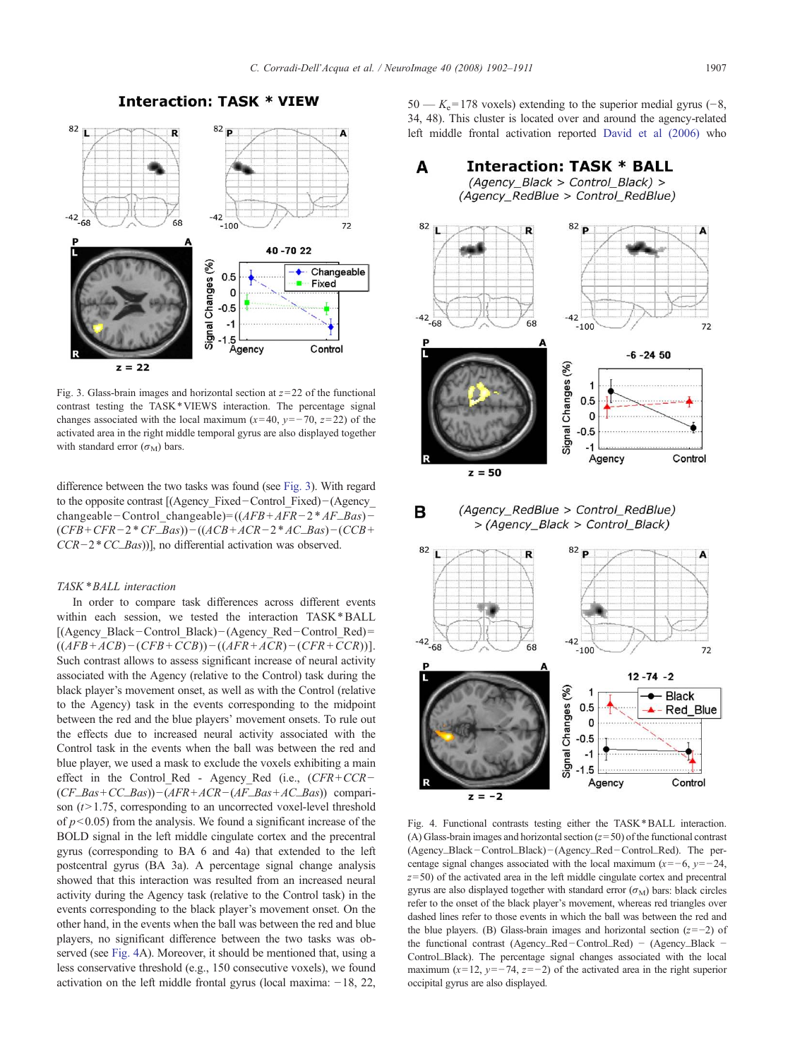## **Interaction: TASK \* VIEW**

<span id="page-5-0"></span>

Fig. 3. Glass-brain images and horizontal section at  $z=22$  of the functional contrast testing the TASK \*VIEWS interaction. The percentage signal changes associated with the local maximum ( $x=40$ ,  $y=-70$ ,  $z=22$ ) of the activated area in the right middle temporal gyrus are also displayed together with standard error  $(\sigma_M)$  bars.

difference between the two tasks was found (see Fig. 3). With regard to the opposite contrast [(Agency\_Fixed−Control\_Fixed)−(Agency\_ changeable−Control\_changeable)=  $((AFB + AFR - 2 * AF_B as) (CFB+CFR-2*CF\_Bas)$ ) –  $((ACB+ACR-2*AC\_Bas)$  –  $(CCB+$ CCR−2 \* CC\_Bas))], no differential activation was observed.

### TASK \*BALL interaction

In order to compare task differences across different events within each session, we tested the interaction TASK \*BALL [(Agency\_Black−Control\_Black)−(Agency\_Red−Control\_Red) =  $((AFB + ACB) - (CFB + CCB)) - ((AFR + ACR) - (CFR + CCR))$ ]. Such contrast allows to assess significant increase of neural activity associated with the Agency (relative to the Control) task during the black player's movement onset, as well as with the Control (relative to the Agency) task in the events corresponding to the midpoint between the red and the blue players' movement onsets. To rule out the effects due to increased neural activity associated with the Control task in the events when the ball was between the red and blue player, we used a mask to exclude the voxels exhibiting a main effect in the Control Red - Agency Red (i.e.,  $(CFR+CCR (CF\_Bas+CC\_Bas)$ ) –  $(AFR+ACR-(AF\_Bas+AC\_Bas)$  comparison  $(t>1.75$ , corresponding to an uncorrected voxel-level threshold of  $p<0.05$ ) from the analysis. We found a significant increase of the BOLD signal in the left middle cingulate cortex and the precentral gyrus (corresponding to BA 6 and 4a) that extended to the left postcentral gyrus (BA 3a). A percentage signal change analysis showed that this interaction was resulted from an increased neural activity during the Agency task (relative to the Control task) in the events corresponding to the black player's movement onset. On the other hand, in the events when the ball was between the red and blue players, no significant difference between the two tasks was observed (see Fig. 4A). Moreover, it should be mentioned that, using a less conservative threshold (e.g., 150 consecutive voxels), we found activation on the left middle frontal gyrus (local maxima: −18, 22,

 $50 - K<sub>e</sub>$ =178 voxels) extending to the superior medial gyrus (−8, 34, 48). This cluster is located over and around the agency-related left middle frontal activation reported [David et al \(2006\)](#page-8-0) who

#### **Interaction: TASK \* BALL** A (Agency Black > Control Black) >









Fig. 4. Functional contrasts testing either the TASK\*BALL interaction. (A) Glass-brain images and horizontal section  $(z=50)$  of the functional contrast (Agency\_Black−Control\_Black)−(Agency\_Red−Control\_Red). The percentage signal changes associated with the local maximum  $(x=-6, y=-24,$  $z=$  50) of the activated area in the left middle cingulate cortex and precentral gyrus are also displayed together with standard error  $(\sigma_M)$  bars: black circles refer to the onset of the black player's movement, whereas red triangles over dashed lines refer to those events in which the ball was between the red and the blue players. (B) Glass-brain images and horizontal section  $(z=-2)$  of the functional contrast (Agency\_Red−Control\_Red) − (Agency\_Black − Control\_Black). The percentage signal changes associated with the local maximum  $(x=12, y=-74, z=-2)$  of the activated area in the right superior occipital gyrus are also displayed.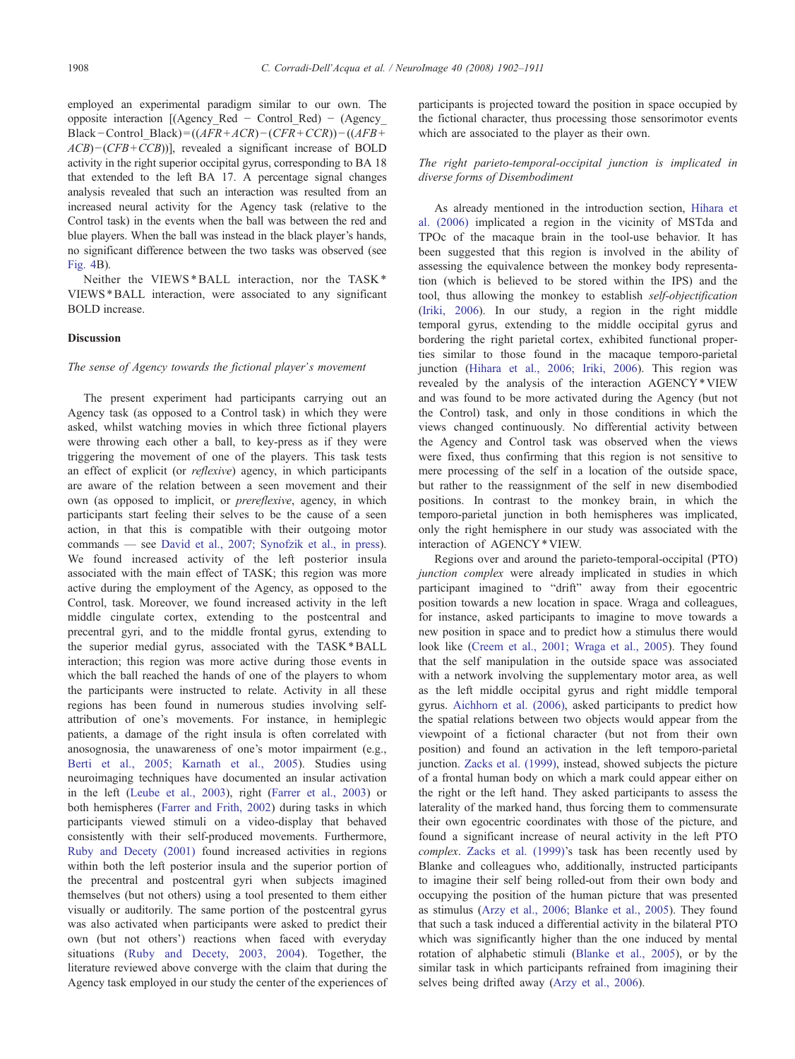employed an experimental paradigm similar to our own. The opposite interaction [(Agency\_Red − Control\_Red) − (Agency\_ Black – Control\_Black) =  $((AFR + ACR) - (CFR + CCR)) - ((AFB +$ ACB)−(CFB+CCB))], revealed a significant increase of BOLD activity in the right superior occipital gyrus, corresponding to BA 18 that extended to the left BA 17. A percentage signal changes analysis revealed that such an interaction was resulted from an increased neural activity for the Agency task (relative to the Control task) in the events when the ball was between the red and blue players. When the ball was instead in the black player's hands, no significant difference between the two tasks was observed (see [Fig. 4](#page-5-0)B).

Neither the VIEWS \* BALL interaction, nor the TASK \* VIEWS \*BALL interaction, were associated to any significant BOLD increase.

#### Discussion

### The sense of Agency towards the fictional player's movement

The present experiment had participants carrying out an Agency task (as opposed to a Control task) in which they were asked, whilst watching movies in which three fictional players were throwing each other a ball, to key-press as if they were triggering the movement of one of the players. This task tests an effect of explicit (or reflexive) agency, in which participants are aware of the relation between a seen movement and their own (as opposed to implicit, or prereflexive, agency, in which participants start feeling their selves to be the cause of a seen action, in that this is compatible with their outgoing motor commands — see [David et al., 2007; Synofzik et al., in press\)](#page-8-0). We found increased activity of the left posterior insula associated with the main effect of TASK; this region was more active during the employment of the Agency, as opposed to the Control, task. Moreover, we found increased activity in the left middle cingulate cortex, extending to the postcentral and precentral gyri, and to the middle frontal gyrus, extending to the superior medial gyrus, associated with the TASK \*BALL interaction; this region was more active during those events in which the ball reached the hands of one of the players to whom the participants were instructed to relate. Activity in all these regions has been found in numerous studies involving selfattribution of one's movements. For instance, in hemiplegic patients, a damage of the right insula is often correlated with anosognosia, the unawareness of one's motor impairment (e.g., [Berti et al., 2005; Karnath et al., 2005](#page-8-0)). Studies using neuroimaging techniques have documented an insular activation in the left ([Leube et al., 2003](#page-8-0)), right ([Farrer et al., 2003\)](#page-8-0) or both hemispheres ([Farrer and Frith, 2002](#page-8-0)) during tasks in which participants viewed stimuli on a video-display that behaved consistently with their self-produced movements. Furthermore, [Ruby and Decety \(2001\)](#page-9-0) found increased activities in regions within both the left posterior insula and the superior portion of the precentral and postcentral gyri when subjects imagined themselves (but not others) using a tool presented to them either visually or auditorily. The same portion of the postcentral gyrus was also activated when participants were asked to predict their own (but not others') reactions when faced with everyday situations [\(Ruby and Decety, 2003, 2004](#page-9-0)). Together, the literature reviewed above converge with the claim that during the Agency task employed in our study the center of the experiences of participants is projected toward the position in space occupied by the fictional character, thus processing those sensorimotor events which are associated to the player as their own.

### The right parieto-temporal-occipital junction is implicated in diverse forms of Disembodiment

As already mentioned in the introduction section, [Hihara et](#page-8-0) [al. \(2006\)](#page-8-0) implicated a region in the vicinity of MSTda and TPOc of the macaque brain in the tool-use behavior. It has been suggested that this region is involved in the ability of assessing the equivalence between the monkey body representation (which is believed to be stored within the IPS) and the tool, thus allowing the monkey to establish self-objectification ([Iriki, 2006\)](#page-8-0). In our study, a region in the right middle temporal gyrus, extending to the middle occipital gyrus and bordering the right parietal cortex, exhibited functional properties similar to those found in the macaque temporo-parietal junction ([Hihara et al., 2006; Iriki, 2006\)](#page-8-0). This region was revealed by the analysis of the interaction AGENCY \* VIEW and was found to be more activated during the Agency (but not the Control) task, and only in those conditions in which the views changed continuously. No differential activity between the Agency and Control task was observed when the views were fixed, thus confirming that this region is not sensitive to mere processing of the self in a location of the outside space, but rather to the reassignment of the self in new disembodied positions. In contrast to the monkey brain, in which the temporo-parietal junction in both hemispheres was implicated, only the right hemisphere in our study was associated with the interaction of AGENCY \*VIEW.

Regions over and around the parieto-temporal-occipital (PTO) junction complex were already implicated in studies in which participant imagined to "drift" away from their egocentric position towards a new location in space. Wraga and colleagues, for instance, asked participants to imagine to move towards a new position in space and to predict how a stimulus there would look like ([Creem et al., 2001; Wraga et al., 2005\)](#page-8-0). They found that the self manipulation in the outside space was associated with a network involving the supplementary motor area, as well as the left middle occipital gyrus and right middle temporal gyrus. [Aichhorn et al. \(2006\)](#page-8-0), asked participants to predict how the spatial relations between two objects would appear from the viewpoint of a fictional character (but not from their own position) and found an activation in the left temporo-parietal junction. [Zacks et al. \(1999\),](#page-9-0) instead, showed subjects the picture of a frontal human body on which a mark could appear either on the right or the left hand. They asked participants to assess the laterality of the marked hand, thus forcing them to commensurate their own egocentric coordinates with those of the picture, and found a significant increase of neural activity in the left PTO complex. [Zacks et al. \(1999\)](#page-9-0)'s task has been recently used by Blanke and colleagues who, additionally, instructed participants to imagine their self being rolled-out from their own body and occupying the position of the human picture that was presented as stimulus [\(Arzy et al., 2006; Blanke et al., 2005](#page-8-0)). They found that such a task induced a differential activity in the bilateral PTO which was significantly higher than the one induced by mental rotation of alphabetic stimuli ([Blanke et al., 2005](#page-8-0)), or by the similar task in which participants refrained from imagining their selves being drifted away ([Arzy et al., 2006](#page-8-0)).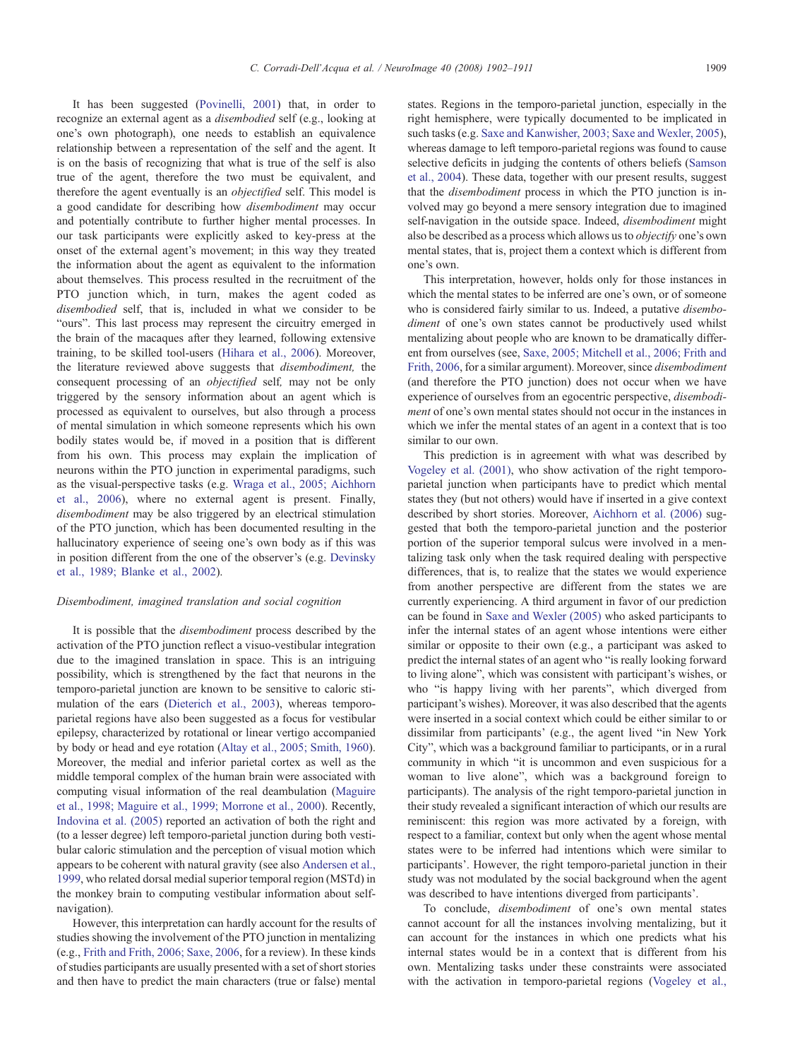It has been suggested ([Povinelli, 2001\)](#page-9-0) that, in order to recognize an external agent as a disembodied self (e.g., looking at one's own photograph), one needs to establish an equivalence relationship between a representation of the self and the agent. It is on the basis of recognizing that what is true of the self is also true of the agent, therefore the two must be equivalent, and therefore the agent eventually is an objectified self. This model is a good candidate for describing how disembodiment may occur and potentially contribute to further higher mental processes. In our task participants were explicitly asked to key-press at the onset of the external agent's movement; in this way they treated the information about the agent as equivalent to the information about themselves. This process resulted in the recruitment of the PTO junction which, in turn, makes the agent coded as disembodied self, that is, included in what we consider to be "ours". This last process may represent the circuitry emerged in the brain of the macaques after they learned, following extensive training, to be skilled tool-users [\(Hihara et al., 2006](#page-8-0)). Moreover, the literature reviewed above suggests that disembodiment, the consequent processing of an objectified self, may not be only triggered by the sensory information about an agent which is processed as equivalent to ourselves, but also through a process of mental simulation in which someone represents which his own bodily states would be, if moved in a position that is different from his own. This process may explain the implication of neurons within the PTO junction in experimental paradigms, such as the visual-perspective tasks (e.g. [Wraga et al., 2005; Aichhorn](#page-9-0) [et al., 2006\)](#page-9-0), where no external agent is present. Finally, disembodiment may be also triggered by an electrical stimulation of the PTO junction, which has been documented resulting in the hallucinatory experience of seeing one's own body as if this was in position different from the one of the observer's (e.g. [Devinsky](#page-8-0) [et al., 1989; Blanke et al., 2002\)](#page-8-0).

### Disembodiment, imagined translation and social cognition

It is possible that the disembodiment process described by the activation of the PTO junction reflect a visuo-vestibular integration due to the imagined translation in space. This is an intriguing possibility, which is strengthened by the fact that neurons in the temporo-parietal junction are known to be sensitive to caloric stimulation of the ears [\(Dieterich et al., 2003\)](#page-8-0), whereas temporoparietal regions have also been suggested as a focus for vestibular epilepsy, characterized by rotational or linear vertigo accompanied by body or head and eye rotation ([Altay et al., 2005; Smith, 1960](#page-8-0)). Moreover, the medial and inferior parietal cortex as well as the middle temporal complex of the human brain were associated with computing visual information of the real deambulation [\(Maguire](#page-8-0) [et al., 1998; Maguire et al., 1999; Morrone et al., 2000\)](#page-8-0). Recently, [Indovina et al. \(2005\)](#page-8-0) reported an activation of both the right and (to a lesser degree) left temporo-parietal junction during both vestibular caloric stimulation and the perception of visual motion which appears to be coherent with natural gravity (see also [Andersen et al.,](#page-8-0) [1999](#page-8-0), who related dorsal medial superior temporal region (MSTd) in the monkey brain to computing vestibular information about selfnavigation).

However, this interpretation can hardly account for the results of studies showing the involvement of the PTO junction in mentalizing (e.g., [Frith and Frith, 2006; Saxe, 2006](#page-8-0), for a review). In these kinds of studies participants are usually presented with a set of short stories and then have to predict the main characters (true or false) mental

states. Regions in the temporo-parietal junction, especially in the right hemisphere, were typically documented to be implicated in such tasks (e.g. [Saxe and Kanwisher, 2003; Saxe and Wexler, 2005](#page-9-0)), whereas damage to left temporo-parietal regions was found to cause selective deficits in judging the contents of others beliefs [\(Samson](#page-9-0) [et al., 2004\)](#page-9-0). These data, together with our present results, suggest that the disembodiment process in which the PTO junction is involved may go beyond a mere sensory integration due to imagined self-navigation in the outside space. Indeed, *disembodiment* might also be described as a process which allows us to objectify one's own mental states, that is, project them a context which is different from one's own.

This interpretation, however, holds only for those instances in which the mental states to be inferred are one's own, or of someone who is considered fairly similar to us. Indeed, a putative *disembo*diment of one's own states cannot be productively used whilst mentalizing about people who are known to be dramatically different from ourselves (see, [Saxe, 2005; Mitchell et al., 2006; Frith and](#page-9-0) [Frith, 2006](#page-9-0), for a similar argument). Moreover, since disembodiment (and therefore the PTO junction) does not occur when we have experience of ourselves from an egocentric perspective, disembodiment of one's own mental states should not occur in the instances in which we infer the mental states of an agent in a context that is too similar to our own.

This prediction is in agreement with what was described by [Vogeley et al. \(2001\),](#page-9-0) who show activation of the right temporoparietal junction when participants have to predict which mental states they (but not others) would have if inserted in a give context described by short stories. Moreover, [Aichhorn et al. \(2006\)](#page-8-0) suggested that both the temporo-parietal junction and the posterior portion of the superior temporal sulcus were involved in a mentalizing task only when the task required dealing with perspective differences, that is, to realize that the states we would experience from another perspective are different from the states we are currently experiencing. A third argument in favor of our prediction can be found in [Saxe and Wexler \(2005\)](#page-9-0) who asked participants to infer the internal states of an agent whose intentions were either similar or opposite to their own (e.g., a participant was asked to predict the internal states of an agent who "is really looking forward to living alone", which was consistent with participant's wishes, or who "is happy living with her parents", which diverged from participant's wishes). Moreover, it was also described that the agents were inserted in a social context which could be either similar to or dissimilar from participants' (e.g., the agent lived "in New York City", which was a background familiar to participants, or in a rural community in which "it is uncommon and even suspicious for a woman to live alone", which was a background foreign to participants). The analysis of the right temporo-parietal junction in their study revealed a significant interaction of which our results are reminiscent: this region was more activated by a foreign, with respect to a familiar, context but only when the agent whose mental states were to be inferred had intentions which were similar to participants'. However, the right temporo-parietal junction in their study was not modulated by the social background when the agent was described to have intentions diverged from participants'.

To conclude, disembodiment of one's own mental states cannot account for all the instances involving mentalizing, but it can account for the instances in which one predicts what his internal states would be in a context that is different from his own. Mentalizing tasks under these constraints were associated with the activation in temporo-parietal regions [\(Vogeley et al.,](#page-9-0)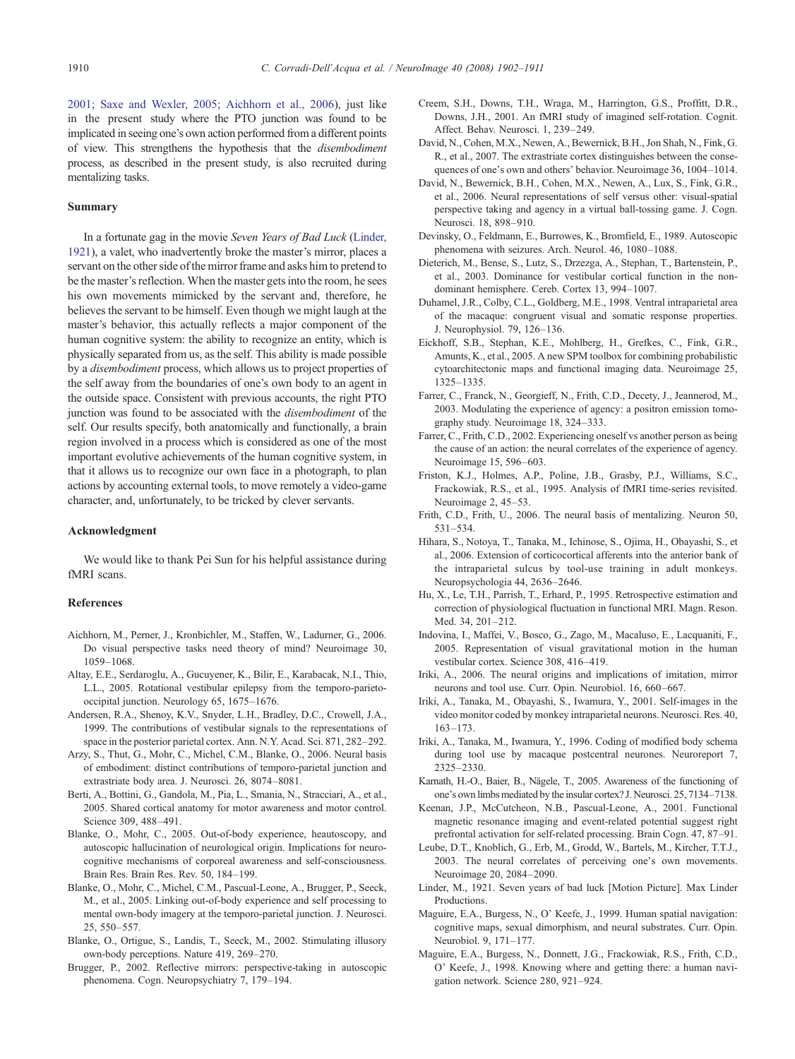<span id="page-8-0"></span>[2001; Saxe and Wexler, 2005; Aichhorn et al., 2006](#page-9-0)), just like in the present study where the PTO junction was found to be implicated in seeing one's own action performed from a different points of view. This strengthens the hypothesis that the disembodiment process, as described in the present study, is also recruited during mentalizing tasks.

#### Summary

In a fortunate gag in the movie Seven Years of Bad Luck (Linder, 1921), a valet, who inadvertently broke the master's mirror, places a servant on the other side of the mirror frame and asks him to pretend to be the master's reflection. When the master gets into the room, he sees his own movements mimicked by the servant and, therefore, he believes the servant to be himself. Even though we might laugh at the master's behavior, this actually reflects a major component of the human cognitive system: the ability to recognize an entity, which is physically separated from us, as the self. This ability is made possible by a disembodiment process, which allows us to project properties of the self away from the boundaries of one's own body to an agent in the outside space. Consistent with previous accounts, the right PTO junction was found to be associated with the *disembodiment* of the self. Our results specify, both anatomically and functionally, a brain region involved in a process which is considered as one of the most important evolutive achievements of the human cognitive system, in that it allows us to recognize our own face in a photograph, to plan actions by accounting external tools, to move remotely a video-game character, and, unfortunately, to be tricked by clever servants.

### Acknowledgment

We would like to thank Pei Sun for his helpful assistance during fMRI scans.

#### References

- Aichhorn, M., Perner, J., Kronbichler, M., Staffen, W., Ladurner, G., 2006. Do visual perspective tasks need theory of mind? Neuroimage 30, 1059–1068.
- Altay, E.E., Serdaroglu, A., Gucuyener, K., Bilir, E., Karabacak, N.I., Thio, L.L., 2005. Rotational vestibular epilepsy from the temporo-parietooccipital junction. Neurology 65, 1675–1676.
- Andersen, R.A., Shenoy, K.V., Snyder, L.H., Bradley, D.C., Crowell, J.A., 1999. The contributions of vestibular signals to the representations of space in the posterior parietal cortex. Ann. N.Y. Acad. Sci. 871, 282–292.
- Arzy, S., Thut, G., Mohr, C., Michel, C.M., Blanke, O., 2006. Neural basis of embodiment: distinct contributions of temporo-parietal junction and extrastriate body area. J. Neurosci. 26, 8074–8081.
- Berti, A., Bottini, G., Gandola, M., Pia, L., Smania, N., Stracciari, A., et al., 2005. Shared cortical anatomy for motor awareness and motor control. Science 309, 488–491.
- Blanke, O., Mohr, C., 2005. Out-of-body experience, heautoscopy, and autoscopic hallucination of neurological origin. Implications for neurocognitive mechanisms of corporeal awareness and self-consciousness. Brain Res. Brain Res. Rev. 50, 184–199.
- Blanke, O., Mohr, C., Michel, C.M., Pascual-Leone, A., Brugger, P., Seeck, M., et al., 2005. Linking out-of-body experience and self processing to mental own-body imagery at the temporo-parietal junction. J. Neurosci. 25, 550–557.
- Blanke, O., Ortigue, S., Landis, T., Seeck, M., 2002. Stimulating illusory own-body perceptions. Nature 419, 269–270.
- Brugger, P., 2002. Reflective mirrors: perspective-taking in autoscopic phenomena. Cogn. Neuropsychiatry 7, 179–194.
- Creem, S.H., Downs, T.H., Wraga, M., Harrington, G.S., Proffitt, D.R., Downs, J.H., 2001. An fMRI study of imagined self-rotation. Cognit. Affect. Behav. Neurosci. 1, 239–249.
- David, N., Cohen, M.X., Newen, A., Bewernick, B.H., Jon Shah, N., Fink, G. R., et al., 2007. The extrastriate cortex distinguishes between the consequences of one's own and others' behavior. Neuroimage 36, 1004–1014.
- David, N., Bewernick, B.H., Cohen, M.X., Newen, A., Lux, S., Fink, G.R., et al., 2006. Neural representations of self versus other: visual-spatial perspective taking and agency in a virtual ball-tossing game. J. Cogn. Neurosci. 18, 898–910.
- Devinsky, O., Feldmann, E., Burrowes, K., Bromfield, E., 1989. Autoscopic phenomena with seizures. Arch. Neurol. 46, 1080–1088.
- Dieterich, M., Bense, S., Lutz, S., Drzezga, A., Stephan, T., Bartenstein, P., et al., 2003. Dominance for vestibular cortical function in the nondominant hemisphere. Cereb. Cortex 13, 994–1007.
- Duhamel, J.R., Colby, C.L., Goldberg, M.E., 1998. Ventral intraparietal area of the macaque: congruent visual and somatic response properties. J. Neurophysiol. 79, 126–136.
- Eickhoff, S.B., Stephan, K.E., Mohlberg, H., Grefkes, C., Fink, G.R., Amunts, K., et al., 2005. A new SPM toolbox for combining probabilistic cytoarchitectonic maps and functional imaging data. Neuroimage 25, 1325–1335.
- Farrer, C., Franck, N., Georgieff, N., Frith, C.D., Decety, J., Jeannerod, M., 2003. Modulating the experience of agency: a positron emission tomography study. Neuroimage 18, 324–333.
- Farrer, C., Frith, C.D., 2002. Experiencing oneself vs another person as being the cause of an action: the neural correlates of the experience of agency. Neuroimage 15, 596–603.
- Friston, K.J., Holmes, A.P., Poline, J.B., Grasby, P.J., Williams, S.C., Frackowiak, R.S., et al., 1995. Analysis of fMRI time-series revisited. Neuroimage 2, 45–53.
- Frith, C.D., Frith, U., 2006. The neural basis of mentalizing. Neuron 50, 531–534.
- Hihara, S., Notoya, T., Tanaka, M., Ichinose, S., Ojima, H., Obayashi, S., et al., 2006. Extension of corticocortical afferents into the anterior bank of the intraparietal sulcus by tool-use training in adult monkeys. Neuropsychologia 44, 2636–2646.
- Hu, X., Le, T.H., Parrish, T., Erhard, P., 1995. Retrospective estimation and correction of physiological fluctuation in functional MRI. Magn. Reson. Med. 34, 201–212.
- Indovina, I., Maffei, V., Bosco, G., Zago, M., Macaluso, E., Lacquaniti, F., 2005. Representation of visual gravitational motion in the human vestibular cortex. Science 308, 416–419.
- Iriki, A., 2006. The neural origins and implications of imitation, mirror neurons and tool use. Curr. Opin. Neurobiol. 16, 660–667.
- Iriki, A., Tanaka, M., Obayashi, S., Iwamura, Y., 2001. Self-images in the video monitor coded by monkey intraparietal neurons. Neurosci. Res. 40, 163–173.
- Iriki, A., Tanaka, M., Iwamura, Y., 1996. Coding of modified body schema during tool use by macaque postcentral neurones. Neuroreport 7, 2325–2330.
- Karnath, H.-O., Baier, B., Nägele, T., 2005. Awareness of the functioning of one's own limbs mediated by the insular cortex? J. Neurosci. 25, 7134–7138.
- Keenan, J.P., McCutcheon, N.B., Pascual-Leone, A., 2001. Functional magnetic resonance imaging and event-related potential suggest right prefrontal activation for self-related processing. Brain Cogn. 47, 87–91.
- Leube, D.T., Knoblich, G., Erb, M., Grodd, W., Bartels, M., Kircher, T.T.J., 2003. The neural correlates of perceiving one's own movements. Neuroimage 20, 2084–2090.
- Linder, M., 1921. Seven years of bad luck [Motion Picture]. Max Linder Productions.
- Maguire, E.A., Burgess, N., O' Keefe, J., 1999. Human spatial navigation: cognitive maps, sexual dimorphism, and neural substrates. Curr. Opin. Neurobiol. 9, 171–177.
- Maguire, E.A., Burgess, N., Donnett, J.G., Frackowiak, R.S., Frith, C.D., O' Keefe, J., 1998. Knowing where and getting there: a human navigation network. Science 280, 921–924.